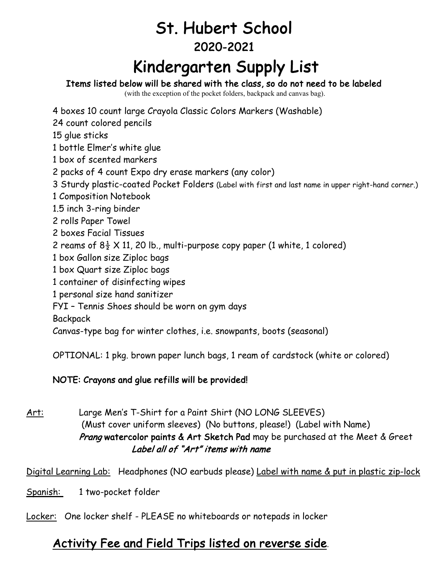## St. Hubert School 2020-2021

# **Kindergarten Supply List**<br>Items listed below will be shared with the class, so do not need to be labeled

(with the exception of the pocket folders, backpack and canvas bag).

4 boxes 10 count large Crayola Classic Colors Markers (Washable)

24 count colored pencils

15 glue sticks

1 bottle Elmer's white glue

1 box of scented markers

2 packs of 4 count Expo dry erase markers (any color)

3 Sturdy plastic-coated Pocket Folders (Label with first and last name in upper right-hand corner.)

- 1 Composition Notebook
- 1.5 inch 3-ring binder
- 2 rolls Paper Towel
- 2 boxes Facial Tissues
- 2 reams of  $8\frac{1}{2}$  X 11, 20 lb., multi-purpose copy paper (1 white, 1 colored)
- 1 box Gallon size Ziploc bags
- 1 box Quart size Ziploc bags
- 1 container of disinfecting wipes
- 1 personal size hand sanitizer
- FYI Tennis Shoes should be worn on gym days

**Backpack** 

Canvas-type bag for winter clothes, i.e. snowpants, boots (seasonal)

OPTIONAL: 1 pkg. brown paper lunch bags, 1 ream of cardstock (white or colored)

#### NOTE: Crayons and glue refills will be provided!

Art: Large Men's T-Shirt for a Paint Shirt (NO LONG SLEEVES) (Must cover uniform sleeves) (No buttons, please!) (Label with Name) Prang watercolor paints & Art Sketch Pad may be purchased at the Meet & Greet Label all of "Art" items with name

Digital Learning Lab: Headphones (NO earbuds please) Label with name & put in plastic zip-lock

Spanish: 1 two-pocket folder

Locker: One locker shelf - PLEASE no whiteboards or notepads in locker

#### Activity Fee and Field Trips listed on reverse side.